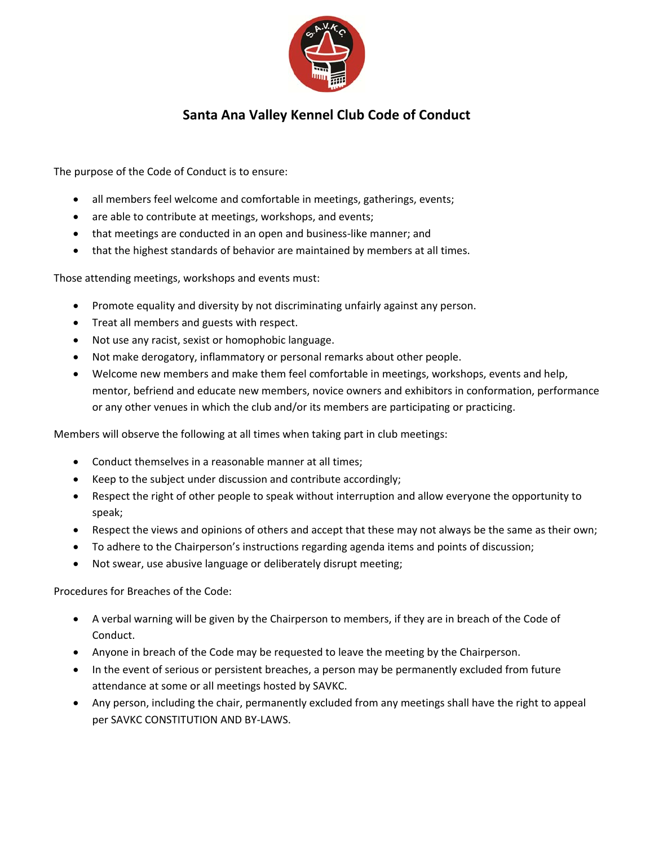

## **Santa Ana Valley Kennel Club Code of Conduct**

The purpose of the Code of Conduct is to ensure:

- all members feel welcome and comfortable in meetings, gatherings, events;
- are able to contribute at meetings, workshops, and events;
- that meetings are conducted in an open and business-like manner; and
- that the highest standards of behavior are maintained by members at all times.

Those attending meetings, workshops and events must:

- Promote equality and diversity by not discriminating unfairly against any person.
- Treat all members and guests with respect.
- Not use any racist, sexist or homophobic language.
- Not make derogatory, inflammatory or personal remarks about other people.
- Welcome new members and make them feel comfortable in meetings, workshops, events and help, mentor, befriend and educate new members, novice owners and exhibitors in conformation, performance or any other venues in which the club and/or its members are participating or practicing.

Members will observe the following at all times when taking part in club meetings:

- Conduct themselves in a reasonable manner at all times;
- Keep to the subject under discussion and contribute accordingly;
- Respect the right of other people to speak without interruption and allow everyone the opportunity to speak;
- Respect the views and opinions of others and accept that these may not always be the same as their own;
- To adhere to the Chairperson's instructions regarding agenda items and points of discussion;
- Not swear, use abusive language or deliberately disrupt meeting;

Procedures for Breaches of the Code:

- A verbal warning will be given by the Chairperson to members, if they are in breach of the Code of Conduct.
- Anyone in breach of the Code may be requested to leave the meeting by the Chairperson.
- In the event of serious or persistent breaches, a person may be permanently excluded from future attendance at some or all meetings hosted by SAVKC.
- Any person, including the chair, permanently excluded from any meetings shall have the right to appeal per SAVKC CONSTITUTION AND BY‐LAWS.